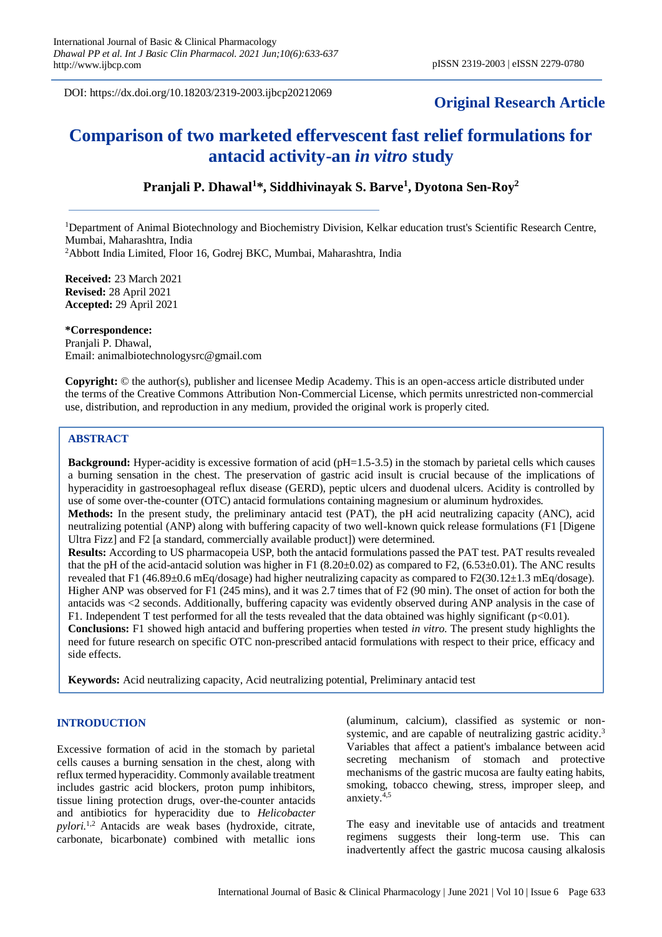DOI: https://dx.doi.org/10.18203/2319-2003.ijbcp20212069

# **Original Research Article**

# **Comparison of two marketed effervescent fast relief formulations for antacid activity-an** *in vitro* **study**

# **Pranjali P. Dhawal<sup>1</sup> \*, Siddhivinayak S. Barve<sup>1</sup> , Dyotona Sen-Roy<sup>2</sup>**

<sup>1</sup>Department of Animal Biotechnology and Biochemistry Division, Kelkar education trust's Scientific Research Centre, Mumbai, Maharashtra, India

<sup>2</sup>Abbott India Limited, Floor 16, Godrej BKC, Mumbai, Maharashtra, India

**Received:** 23 March 2021 **Revised:** 28 April 2021 **Accepted:** 29 April 2021

**\*Correspondence:** Pranjali P. Dhawal,

Email: animalbiotechnologysrc@gmail.com

**Copyright:** © the author(s), publisher and licensee Medip Academy. This is an open-access article distributed under the terms of the Creative Commons Attribution Non-Commercial License, which permits unrestricted non-commercial use, distribution, and reproduction in any medium, provided the original work is properly cited.

# **ABSTRACT**

**Background:** Hyper-acidity is excessive formation of acid (pH=1.5-3.5) in the stomach by parietal cells which causes a burning sensation in the chest. The preservation of gastric acid insult is crucial because of the implications of hyperacidity in gastroesophageal reflux disease (GERD), peptic ulcers and duodenal ulcers. Acidity is controlled by use of some over-the-counter (OTC) antacid formulations containing magnesium or aluminum hydroxides.

**Methods:** In the present study, the preliminary antacid test (PAT), the pH acid neutralizing capacity (ANC), acid neutralizing potential (ANP) along with buffering capacity of two well-known quick release formulations (F1 [Digene Ultra Fizz] and F2 [a standard, commercially available product]) were determined.

**Results:** According to US pharmacopeia USP, both the antacid formulations passed the PAT test. PAT results revealed that the pH of the acid-antacid solution was higher in F1  $(8.20\pm0.02)$  as compared to F2,  $(6.53\pm0.01)$ . The ANC results revealed that F1 (46.89±0.6 mEq/dosage) had higher neutralizing capacity as compared to F2(30.12±1.3 mEq/dosage). Higher ANP was observed for F1 (245 mins), and it was 2.7 times that of F2 (90 min). The onset of action for both the antacids was <2 seconds. Additionally, buffering capacity was evidently observed during ANP analysis in the case of F1. Independent T test performed for all the tests revealed that the data obtained was highly significant ( $p<0.01$ ). **Conclusions:** F1 showed high antacid and buffering properties when tested *in vitro*. The present study highlights the

need for future research on specific OTC non-prescribed antacid formulations with respect to their price, efficacy and side effects.

**Keywords:** Acid neutralizing capacity, Acid neutralizing potential, Preliminary antacid test

# **INTRODUCTION**

Excessive formation of acid in the stomach by parietal cells causes a burning sensation in the chest, along with reflux termed hyperacidity. Commonly available treatment includes gastric acid blockers, proton pump inhibitors, tissue lining protection drugs, over-the-counter antacids and antibiotics for hyperacidity due to *Helicobacter pylori.*1,2 Antacids are weak bases (hydroxide, citrate, carbonate, bicarbonate) combined with metallic ions (aluminum, calcium), classified as systemic or nonsystemic, and are capable of neutralizing gastric acidity.<sup>3</sup> Variables that affect a patient's imbalance between acid secreting mechanism of stomach and protective mechanisms of the gastric mucosa are faulty eating habits, smoking, tobacco chewing, stress, improper sleep, and anxiety.4,5

The easy and inevitable use of antacids and treatment regimens suggests their long-term use. This can inadvertently affect the gastric mucosa causing alkalosis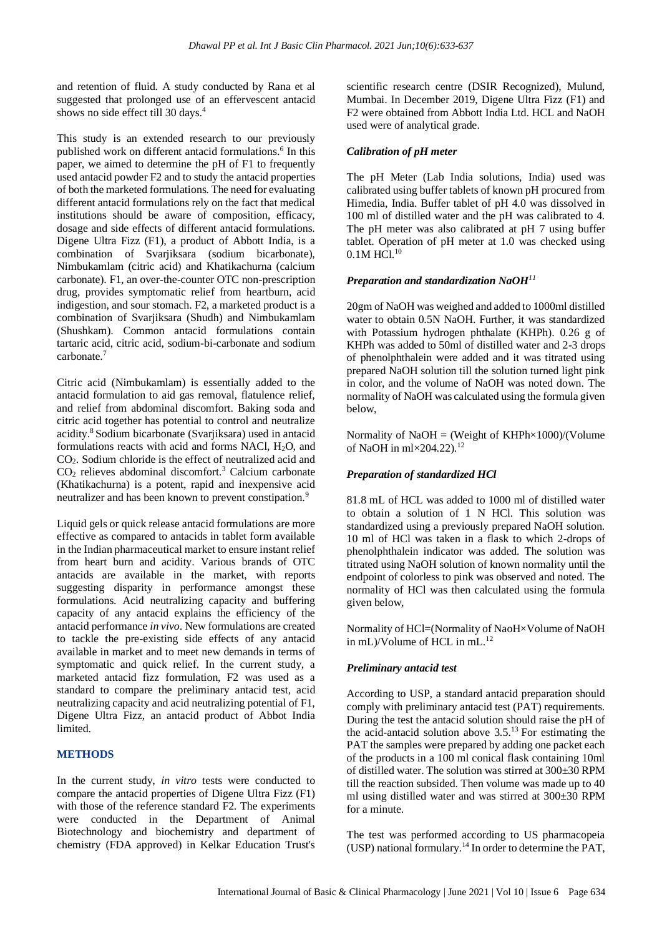and retention of fluid. A study conducted by Rana et al suggested that prolonged use of an effervescent antacid shows no side effect till 30 days.<sup>4</sup>

This study is an extended research to our previously published work on different antacid formulations.<sup>6</sup> In this paper, we aimed to determine the pH of F1 to frequently used antacid powder F2 and to study the antacid properties of both the marketed formulations. The need for evaluating different antacid formulations rely on the fact that medical institutions should be aware of composition, efficacy, dosage and side effects of different antacid formulations. Digene Ultra Fizz (F1), a product of Abbott India, is a combination of Svarjiksara (sodium bicarbonate), Nimbukamlam (citric acid) and Khatikachurna (calcium carbonate). F1, an over-the-counter OTC non-prescription drug, provides symptomatic relief from heartburn, acid indigestion, and sour stomach. F2, a marketed product is a combination of Svarjiksara (Shudh) and Nimbukamlam (Shushkam). Common antacid formulations contain tartaric acid, citric acid, sodium-bi-carbonate and sodium carbonate.<sup>7</sup>

Citric acid (Nimbukamlam) is essentially added to the antacid formulation to aid gas removal, flatulence relief, and relief from abdominal discomfort. Baking soda and citric acid together has potential to control and neutralize acidity.<sup>8</sup>Sodium bicarbonate (Svarjiksara) used in antacid formulations reacts with acid and forms NACl,  $H_2O$ , and CO2. Sodium chloride is the effect of neutralized acid and  $CO<sub>2</sub>$  relieves abdominal discomfort.<sup>3</sup> Calcium carbonate (Khatikachurna) is a potent, rapid and inexpensive acid neutralizer and has been known to prevent constipation.<sup>9</sup>

Liquid gels or quick release antacid formulations are more effective as compared to antacids in tablet form available in the Indian pharmaceutical market to ensure instant relief from heart burn and acidity. Various brands of OTC antacids are available in the market, with reports suggesting disparity in performance amongst these formulations. Acid neutralizing capacity and buffering capacity of any antacid explains the efficiency of the antacid performance *in vivo*. New formulations are created to tackle the pre-existing side effects of any antacid available in market and to meet new demands in terms of symptomatic and quick relief. In the current study, a marketed antacid fizz formulation, F2 was used as a standard to compare the preliminary antacid test, acid neutralizing capacity and acid neutralizing potential of F1, Digene Ultra Fizz, an antacid product of Abbot India limited.

# **METHODS**

In the current study, *in vitro* tests were conducted to compare the antacid properties of Digene Ultra Fizz (F1) with those of the reference standard F2. The experiments were conducted in the Department of Animal Biotechnology and biochemistry and department of chemistry (FDA approved) in Kelkar Education Trust's scientific research centre (DSIR Recognized), Mulund, Mumbai. In December 2019, Digene Ultra Fizz (F1) and F2 were obtained from Abbott India Ltd. HCL and NaOH used were of analytical grade.

# *Calibration of pH meter*

The pH Meter (Lab India solutions, India) used was calibrated using buffer tablets of known pH procured from Himedia, India. Buffer tablet of pH 4.0 was dissolved in 100 ml of distilled water and the pH was calibrated to 4. The pH meter was also calibrated at pH 7 using buffer tablet. Operation of pH meter at 1.0 was checked using  $0.1M$  HCl.<sup>10</sup>

#### *Preparation and standardization NaOH<sup>11</sup>*

20gm of NaOH was weighed and added to 1000ml distilled water to obtain 0.5N NaOH. Further, it was standardized with Potassium hydrogen phthalate (KHPh). 0.26 g of KHPh was added to 50ml of distilled water and 2-3 drops of phenolphthalein were added and it was titrated using prepared NaOH solution till the solution turned light pink in color, and the volume of NaOH was noted down. The normality of NaOH was calculated using the formula given below,

Normality of NaOH = (Weight of KHPh $\times$ 1000)/(Volume of NaOH in  $m$ 1 $\times$ 204.22).<sup>12</sup>

# *Preparation of standardized HCl*

81.8 mL of HCL was added to 1000 ml of distilled water to obtain a solution of 1 N HCl. This solution was standardized using a previously prepared NaOH solution. 10 ml of HCl was taken in a flask to which 2-drops of phenolphthalein indicator was added. The solution was titrated using NaOH solution of known normality until the endpoint of colorless to pink was observed and noted. The normality of HCl was then calculated using the formula given below,

Normality of HCl=(Normality of NaoH×Volume of NaOH in mL)/Volume of HCL in mL.<sup>12</sup>

#### *Preliminary antacid test*

According to USP, a standard antacid preparation should comply with preliminary antacid test (PAT) requirements. During the test the antacid solution should raise the pH of the acid-antacid solution above  $3.5^{13}$  For estimating the PAT the samples were prepared by adding one packet each of the products in a 100 ml conical flask containing 10ml of distilled water. The solution was stirred at 300±30 RPM till the reaction subsided. Then volume was made up to 40 ml using distilled water and was stirred at 300±30 RPM for a minute.

The test was performed according to US pharmacopeia (USP) national formulary.<sup>14</sup> In order to determine the PAT,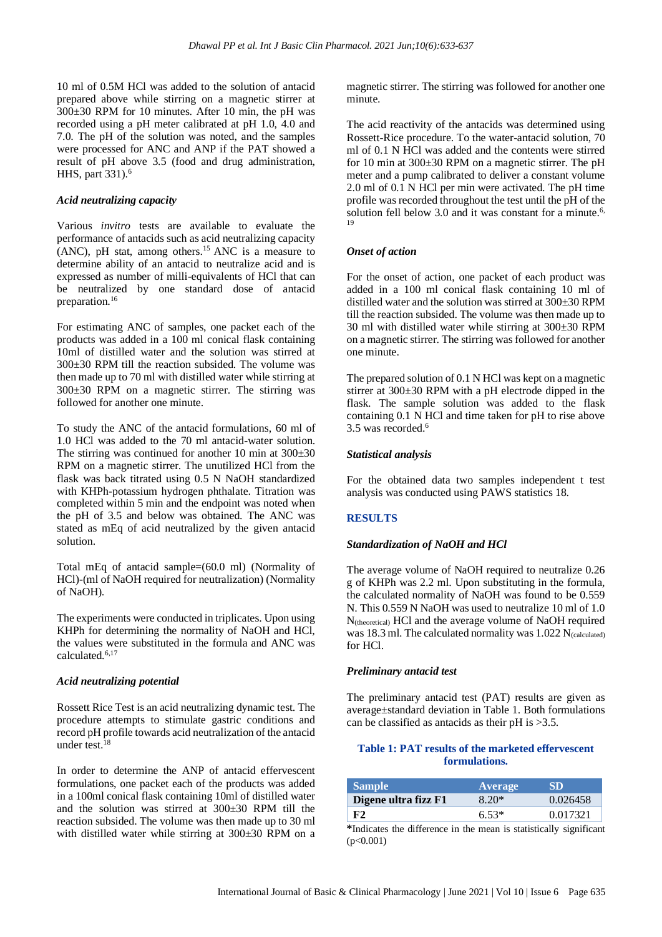10 ml of 0.5M HCl was added to the solution of antacid prepared above while stirring on a magnetic stirrer at 300±30 RPM for 10 minutes. After 10 min, the pH was recorded using a pH meter calibrated at pH 1.0, 4.0 and 7.0. The pH of the solution was noted, and the samples were processed for ANC and ANP if the PAT showed a result of pH above 3.5 (food and drug administration, HHS, part 331).<sup>6</sup>

#### *Acid neutralizing capacity*

Various *invitro* tests are available to evaluate the performance of antacids such as acid neutralizing capacity  $(ANC)$ , pH stat, among others.<sup>15</sup> ANC is a measure to determine ability of an antacid to neutralize acid and is expressed as number of milli-equivalents of HCl that can be neutralized by one standard dose of antacid preparation.<sup>16</sup>

For estimating ANC of samples, one packet each of the products was added in a 100 ml conical flask containing 10ml of distilled water and the solution was stirred at 300±30 RPM till the reaction subsided. The volume was then made up to 70 ml with distilled water while stirring at 300±30 RPM on a magnetic stirrer. The stirring was followed for another one minute.

To study the ANC of the antacid formulations, 60 ml of 1.0 HCl was added to the 70 ml antacid-water solution. The stirring was continued for another 10 min at  $300\pm30$ RPM on a magnetic stirrer. The unutilized HCl from the flask was back titrated using 0.5 N NaOH standardized with KHPh-potassium hydrogen phthalate. Titration was completed within 5 min and the endpoint was noted when the pH of 3.5 and below was obtained. The ANC was stated as mEq of acid neutralized by the given antacid solution.

Total mEq of antacid sample=(60.0 ml) (Normality of HCl)-(ml of NaOH required for neutralization) (Normality of NaOH).

The experiments were conducted in triplicates. Upon using KHPh for determining the normality of NaOH and HCl, the values were substituted in the formula and ANC was calculated.6,17

#### *Acid neutralizing potential*

Rossett Rice Test is an acid neutralizing dynamic test. The procedure attempts to stimulate gastric conditions and record pH profile towards acid neutralization of the antacid under test.<sup>18</sup>

In order to determine the ANP of antacid effervescent formulations, one packet each of the products was added in a 100ml conical flask containing 10ml of distilled water and the solution was stirred at 300±30 RPM till the reaction subsided. The volume was then made up to 30 ml with distilled water while stirring at 300±30 RPM on a magnetic stirrer. The stirring was followed for another one minute.

The acid reactivity of the antacids was determined using Rossett-Rice procedure. To the water-antacid solution, 70 ml of 0.1 N HCl was added and the contents were stirred for 10 min at 300±30 RPM on a magnetic stirrer. The pH meter and a pump calibrated to deliver a constant volume 2.0 ml of 0.1 N HCl per min were activated. The pH time profile was recorded throughout the test until the pH of the solution fell below 3.0 and it was constant for a minute.<sup>6,</sup> 19

# *Onset of action*

For the onset of action, one packet of each product was added in a 100 ml conical flask containing 10 ml of distilled water and the solution was stirred at 300±30 RPM till the reaction subsided. The volume was then made up to 30 ml with distilled water while stirring at 300±30 RPM on a magnetic stirrer. The stirring was followed for another one minute.

The prepared solution of 0.1 N HCl was kept on a magnetic stirrer at 300±30 RPM with a pH electrode dipped in the flask. The sample solution was added to the flask containing 0.1 N HCl and time taken for pH to rise above 3.5 was recorded.<sup>6</sup>

#### *Statistical analysis*

For the obtained data two samples independent t test analysis was conducted using PAWS statistics 18.

# **RESULTS**

#### *Standardization of NaOH and HCl*

The average volume of NaOH required to neutralize 0.26 g of KHPh was 2.2 ml. Upon substituting in the formula, the calculated normality of NaOH was found to be 0.559 N. This 0.559 N NaOH was used to neutralize 10 ml of 1.0 N(theoretical) HCl and the average volume of NaOH required was 18.3 ml. The calculated normality was  $1.022$  N<sub>(calculated)</sub> for HCl.

#### *Preliminary antacid test*

The preliminary antacid test (PAT) results are given as average±standard deviation in Table 1. Both formulations can be classified as antacids as their pH is >3.5.

# **Table 1: PAT results of the marketed effervescent formulations.**

| <b>Sample</b>        | Average | SD       |
|----------------------|---------|----------|
| Digene ultra fizz F1 | 8.20*   | 0.026458 |
| F2                   | $6.53*$ | 0.017321 |

**\***Indicates the difference in the mean is statistically significant  $(p<0.001)$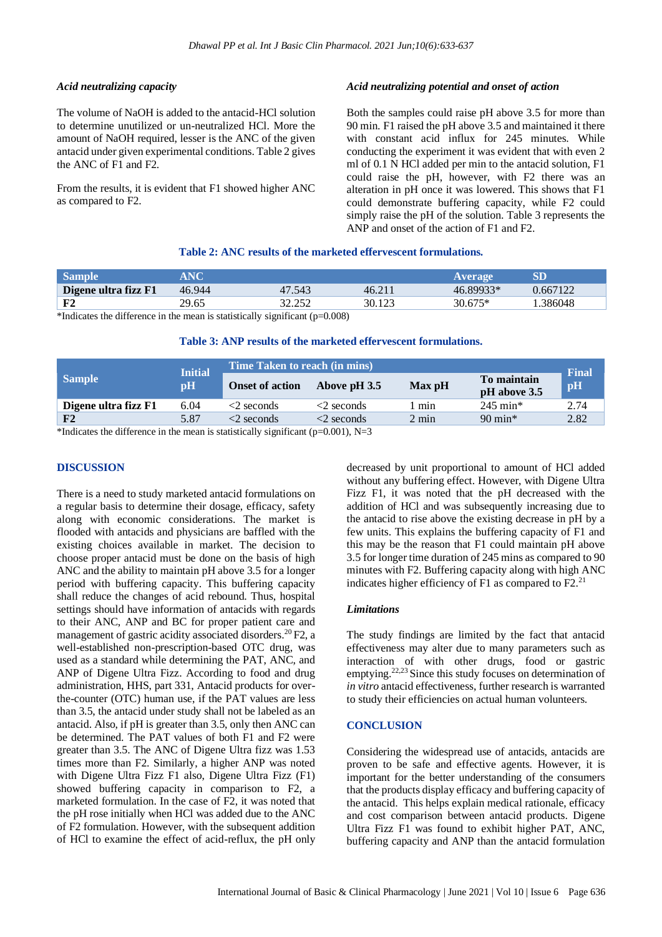#### *Acid neutralizing capacity*

The volume of NaOH is added to the antacid-HCl solution to determine unutilized or un-neutralized HCl. More the amount of NaOH required, lesser is the ANC of the given antacid under given experimental conditions. Table 2 gives the ANC of F1 and F2.

From the results, it is evident that F1 showed higher ANC as compared to F2.

# *Acid neutralizing potential and onset of action*

Both the samples could raise pH above 3.5 for more than 90 min. F1 raised the pH above 3.5 and maintained it there with constant acid influx for 245 minutes. While conducting the experiment it was evident that with even 2 ml of 0.1 N HCl added per min to the antacid solution, F1 could raise the pH, however, with F2 there was an alteration in pH once it was lowered. This shows that F1 could demonstrate buffering capacity, while F2 could simply raise the pH of the solution. Table 3 represents the ANP and onset of the action of F1 and F2.

# **Table 2: ANC results of the marketed effervescent formulations.**

| <b>Sample</b>        | ANC    |        |        | Average   | SD       |
|----------------------|--------|--------|--------|-----------|----------|
| Digene ultra fizz F1 | 46.944 | 47.543 | 46.211 | 46.89933* | 0.667122 |
| F2                   | 29.65  | 32.252 | 30.123 | $30.675*$ | .386048  |

\*Indicates the difference in the mean is statistically significant  $(p=0.008)$ 

### **Table 3: ANP results of the marketed effervescent formulations.**

| <b>Sample</b>                                                      | <b>Initial</b><br>pH | Time Taken to reach (in mins) |                  |                 |                             | <b>Final</b> |  |  |
|--------------------------------------------------------------------|----------------------|-------------------------------|------------------|-----------------|-----------------------------|--------------|--|--|
|                                                                    |                      | <b>Onset of action</b>        | Above pH 3.5     | Max pH          | To maintain<br>pH above 3.5 | pH           |  |  |
| Digene ultra fizz F1                                               | 6.04                 | $\leq$ seconds                | $\leq$ seconds   | min             | $245 \text{ min}^*$         | 2.74         |  |  |
| F <sub>2</sub>                                                     | 5.87                 | $<$ 2 seconds                 | $\leq$ 2 seconds | $2 \text{ min}$ | $90 \text{ min}^*$          | 2.82         |  |  |
| $\omega$ and the contract of the contract of the contract $\alpha$ |                      |                               |                  |                 |                             |              |  |  |

\*Indicates the difference in the mean is statistically significant ( $p=0.001$ ), N=3

# **DISCUSSION**

There is a need to study marketed antacid formulations on a regular basis to determine their dosage, efficacy, safety along with economic considerations. The market is flooded with antacids and physicians are baffled with the existing choices available in market. The decision to choose proper antacid must be done on the basis of high ANC and the ability to maintain pH above 3.5 for a longer period with buffering capacity. This buffering capacity shall reduce the changes of acid rebound. Thus, hospital settings should have information of antacids with regards to their ANC, ANP and BC for proper patient care and management of gastric acidity associated disorders.<sup>20</sup>F2, a well-established non-prescription-based OTC drug, was used as a standard while determining the PAT, ANC, and ANP of Digene Ultra Fizz. According to food and drug administration, HHS, part 331, Antacid products for overthe-counter (OTC) human use, if the PAT values are less than 3.5, the antacid under study shall not be labeled as an antacid. Also, if pH is greater than 3.5, only then ANC can be determined. The PAT values of both F1 and F2 were greater than 3.5. The ANC of Digene Ultra fizz was 1.53 times more than F2. Similarly, a higher ANP was noted with Digene Ultra Fizz F1 also, Digene Ultra Fizz (F1) showed buffering capacity in comparison to F2, a marketed formulation. In the case of F2, it was noted that the pH rose initially when HCl was added due to the ANC of F2 formulation. However, with the subsequent addition of HCl to examine the effect of acid-reflux, the pH only decreased by unit proportional to amount of HCl added without any buffering effect. However, with Digene Ultra Fizz F1, it was noted that the pH decreased with the addition of HCl and was subsequently increasing due to the antacid to rise above the existing decrease in pH by a few units. This explains the buffering capacity of F1 and this may be the reason that F1 could maintain pH above 3.5 for longer time duration of 245 mins as compared to 90 minutes with F2. Buffering capacity along with high ANC indicates higher efficiency of F1 as compared to F2.<sup>21</sup>

#### *Limitations*

The study findings are limited by the fact that antacid effectiveness may alter due to many parameters such as interaction of with other drugs, food or gastric emptying.22,23 Since this study focuses on determination of *in vitro* antacid effectiveness, further research is warranted to study their efficiencies on actual human volunteers.

# **CONCLUSION**

Considering the widespread use of antacids, antacids are proven to be safe and effective agents. However, it is important for the better understanding of the consumers that the products display efficacy and buffering capacity of the antacid. This helps explain medical rationale, efficacy and cost comparison between antacid products. Digene Ultra Fizz F1 was found to exhibit higher PAT, ANC, buffering capacity and ANP than the antacid formulation